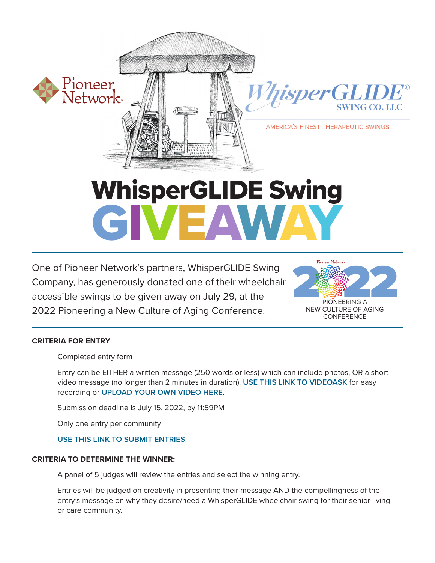

# WhisperGLIDE Swing<br>CIVEAWAY

One of Pioneer Network's partners, WhisperGLIDE Swing<br>Company, has generously donated one of their wheelchair One of Pioneer Network's partners, WhisperGLIDE Swing accessible swings to be given away on July 29, at the 2022 Pioneering a New Culture of Aging Conference.



# **CRITERIA FOR ENTRY**

Completed entry form

Entry can be EITHER a written message (250 words or less) which can include photos, OR a short video message (no longer than 2 minutes in duration). **USE THIS LINK TO VIDEOASK** for easy recording or **[UPLOAD YOUR OWN VIDEO HERE](https://pioneernetwork.sharefile.com/share/upload/re4e8ce585e8e43a9b285bd7637c16fec)**.

Submission deadline is July 15, 2022, by 11:59PM

Only one entry per community

# **[USE THIS LINK TO SUBMIT ENTRIES](https://pioneernetwork.sharefile.com/share/upload/re4e8ce585e8e43a9b285bd7637c16fec)**.

## **CRITERIA TO DETERMINE THE WINNER:**

A panel of 5 judges will review the entries and select the winning entry.

Entries will be judged on creativity in presenting their message AND the compellingness of the entry's message on why they desire/need a WhisperGLIDE wheelchair swing for their senior living or care community.